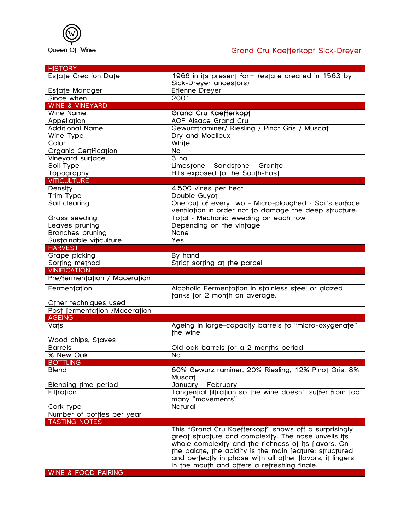

## Grand Cru Kaefferkopf Sick-Dreyer

| <b>HISTORY</b>                 |                                                                                                                                                                                                                                                                                                                                               |
|--------------------------------|-----------------------------------------------------------------------------------------------------------------------------------------------------------------------------------------------------------------------------------------------------------------------------------------------------------------------------------------------|
| Estate Creation Date           | 1966 in its present form (estate created in 1563 by                                                                                                                                                                                                                                                                                           |
|                                | Sick-Dreyer ancestors)                                                                                                                                                                                                                                                                                                                        |
| Estate Manager                 | Etienne Dreyer                                                                                                                                                                                                                                                                                                                                |
| Since when                     | 2001                                                                                                                                                                                                                                                                                                                                          |
| <b>WINE &amp; VINEYARD</b>     |                                                                                                                                                                                                                                                                                                                                               |
| <b>Wine Name</b>               | <b>Grand Cru Kaefferkopf</b>                                                                                                                                                                                                                                                                                                                  |
|                                | <b>AOP Alsace Grand Cru</b>                                                                                                                                                                                                                                                                                                                   |
| <b>Appellation</b>             |                                                                                                                                                                                                                                                                                                                                               |
| <b>Additional Name</b>         | Gewurztraminer/ Riesling / Pinot Gris / Muscat                                                                                                                                                                                                                                                                                                |
| Wine Type                      | Dry and Moelleux                                                                                                                                                                                                                                                                                                                              |
| Color                          | White                                                                                                                                                                                                                                                                                                                                         |
| Organic Certification          | <b>No</b>                                                                                                                                                                                                                                                                                                                                     |
| Vineyard surface               | 3 ha                                                                                                                                                                                                                                                                                                                                          |
| Soil Type                      | Limestone - Sandstone - Granite                                                                                                                                                                                                                                                                                                               |
| Topography                     | Hills exposed to the South-East                                                                                                                                                                                                                                                                                                               |
| <b>VITICULTURE</b>             |                                                                                                                                                                                                                                                                                                                                               |
| Density                        | 4,500 vines per hect                                                                                                                                                                                                                                                                                                                          |
| Trim Type                      | Double Guyot                                                                                                                                                                                                                                                                                                                                  |
| Soil clearing                  | One out of every two - Micro-ploughed - Soil's surface                                                                                                                                                                                                                                                                                        |
|                                | ventilation in order not to damage the deep structure.                                                                                                                                                                                                                                                                                        |
| Grass seeding                  | Total - Mechanic weeding on each row                                                                                                                                                                                                                                                                                                          |
| Leaves pruning                 | Depending on the vintage                                                                                                                                                                                                                                                                                                                      |
|                                | None                                                                                                                                                                                                                                                                                                                                          |
| <b>Branches pruning</b>        | Yes                                                                                                                                                                                                                                                                                                                                           |
| Sustainable viticulture        |                                                                                                                                                                                                                                                                                                                                               |
| <b>HARVEST</b>                 |                                                                                                                                                                                                                                                                                                                                               |
| Grape picking                  | By hand                                                                                                                                                                                                                                                                                                                                       |
| Sorting method                 | Strict sorting at the parcel                                                                                                                                                                                                                                                                                                                  |
| <b>VINIFICATION</b>            |                                                                                                                                                                                                                                                                                                                                               |
|                                |                                                                                                                                                                                                                                                                                                                                               |
| Pre/fermentation / Maceration  |                                                                                                                                                                                                                                                                                                                                               |
| Fermentation                   | Alcoholic Fermentation in stainless steel or glazed                                                                                                                                                                                                                                                                                           |
|                                | tanks for 2 month on average.                                                                                                                                                                                                                                                                                                                 |
| Other techniques used          |                                                                                                                                                                                                                                                                                                                                               |
| Post-fermentation /Maceration  |                                                                                                                                                                                                                                                                                                                                               |
| <b>AGEING</b><br><b>Vats</b>   | Ageing in large-capacity barrels to "micro-oxygenate"                                                                                                                                                                                                                                                                                         |
|                                | the wine.                                                                                                                                                                                                                                                                                                                                     |
| Wood chips, Staves             |                                                                                                                                                                                                                                                                                                                                               |
| <b>Barrels</b>                 | Old oak barrels for a 2 months period                                                                                                                                                                                                                                                                                                         |
| % New Oak                      | <b>No</b>                                                                                                                                                                                                                                                                                                                                     |
| <b>BOTTLING</b>                |                                                                                                                                                                                                                                                                                                                                               |
| <b>Blend</b>                   | 60% Gewurztraminer, 20% Riesling, 12% Pinot Gris, 8%                                                                                                                                                                                                                                                                                          |
|                                | <b>Muscat</b>                                                                                                                                                                                                                                                                                                                                 |
| Blending time period           | January - February                                                                                                                                                                                                                                                                                                                            |
| Filtration                     | Tangential filtration so the wine doesn't suffer from too                                                                                                                                                                                                                                                                                     |
|                                | many "movements"                                                                                                                                                                                                                                                                                                                              |
| Cork type                      | Natural                                                                                                                                                                                                                                                                                                                                       |
| Number of bottles per year     |                                                                                                                                                                                                                                                                                                                                               |
| <b>TASTING NOTES</b>           |                                                                                                                                                                                                                                                                                                                                               |
| <b>WINE &amp; FOOD PAIRING</b> | This "Grand Cru Kaefferkopf" shows off a surprisingly<br>great structure and complexity. The nose unveils its<br>whole complexity and the richness of its flavors. On<br>the palate, the acidity is the main feature: structured<br>and perfectly in phase with all other flavors, it lingers<br>in the mouth and offers a refreshing finale. |